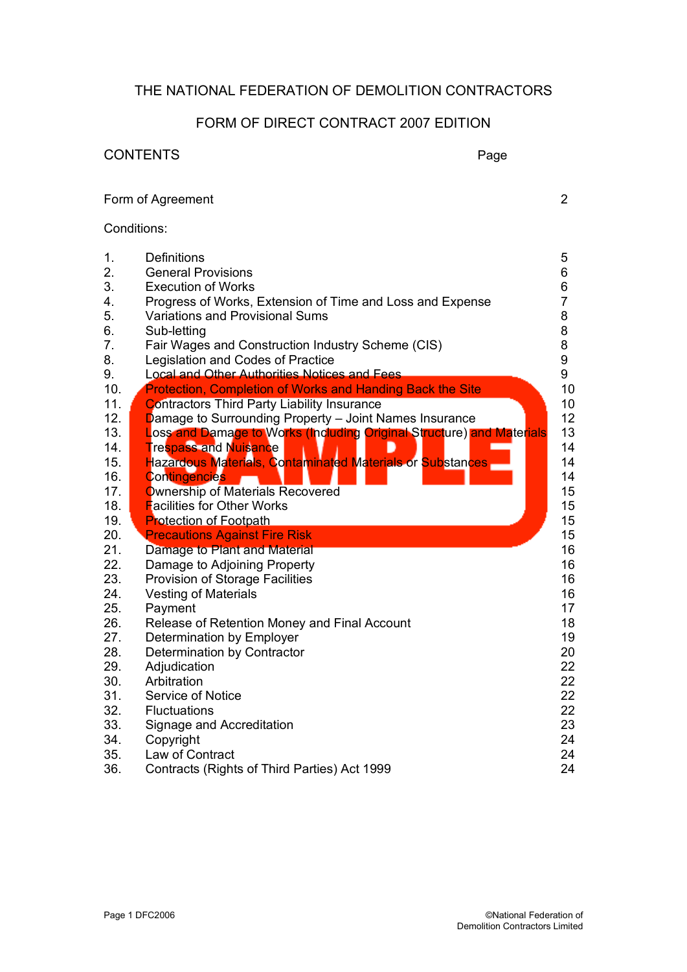# THE NATIONAL FEDERATION OF DEMOLITION CONTRACTORS

# FORM OF DIRECT CONTRACT 2007 EDITION

|     | <b>CONTENTS</b><br>Page                                               |                |
|-----|-----------------------------------------------------------------------|----------------|
|     | Form of Agreement                                                     | $\overline{2}$ |
|     | Conditions:                                                           |                |
| 1.  | <b>Definitions</b>                                                    | 5              |
| 2.  | <b>General Provisions</b>                                             | 6              |
| 3.  | <b>Execution of Works</b>                                             | 6              |
| 4.  | Progress of Works, Extension of Time and Loss and Expense             | $\overline{7}$ |
| 5.  | <b>Variations and Provisional Sums</b>                                | 8              |
| 6.  | Sub-letting                                                           | 8              |
| 7.  | Fair Wages and Construction Industry Scheme (CIS)                     | 8              |
| 8.  | Legislation and Codes of Practice                                     | 9              |
| 9.  | Local and Other Authorities Notices and Fees                          | 9              |
| 10. | Protection, Completion of Works and Handing Back the Site             | 10             |
| 11. | <b>Contractors Third Party Liability Insurance</b>                    | 10             |
| 12. | Damage to Surrounding Property - Joint Names Insurance                | 12             |
| 13. | Loss and Damage to Works (Including Original Structure) and Materials | 13             |
| 14. | <b>Trespass and Nuisance</b>                                          | 14             |
| 15. | Hazardous Materials, Contaminated Materials or Substances             | 14             |
| 16. | <b>Contingencies</b>                                                  | 14             |
| 17. | Ownership of Materials Recovered                                      | 15             |
| 18. | <b>Facilities for Other Works</b>                                     | 15             |
| 19. | <b>Protection of Footpath</b>                                         | 15             |
| 20. | <b>Precautions Against Fire Risk</b>                                  | 15             |
| 21. | Damage to Plant and Material                                          | 16             |
| 22. | Damage to Adjoining Property                                          | 16             |
| 23. | Provision of Storage Facilities                                       | 16             |
| 24. | <b>Vesting of Materials</b>                                           | 16             |
| 25. | Payment                                                               | 17             |
| 26. | Release of Retention Money and Final Account                          | 18             |
| 27. | Determination by Employer                                             | 19             |
| 28. | Determination by Contractor                                           | 20             |
| 29. | Adjudication                                                          | 22             |
| 30. | Arbitration                                                           | 22             |
| 31. | Service of Notice                                                     | 22             |
| 32. | <b>Fluctuations</b>                                                   | 22             |
| 33. | Signage and Accreditation                                             | 23             |
| 34. | Copyright                                                             | 24             |
| 35. | Law of Contract                                                       | 24             |
| 36. | Contracts (Rights of Third Parties) Act 1999                          | 24             |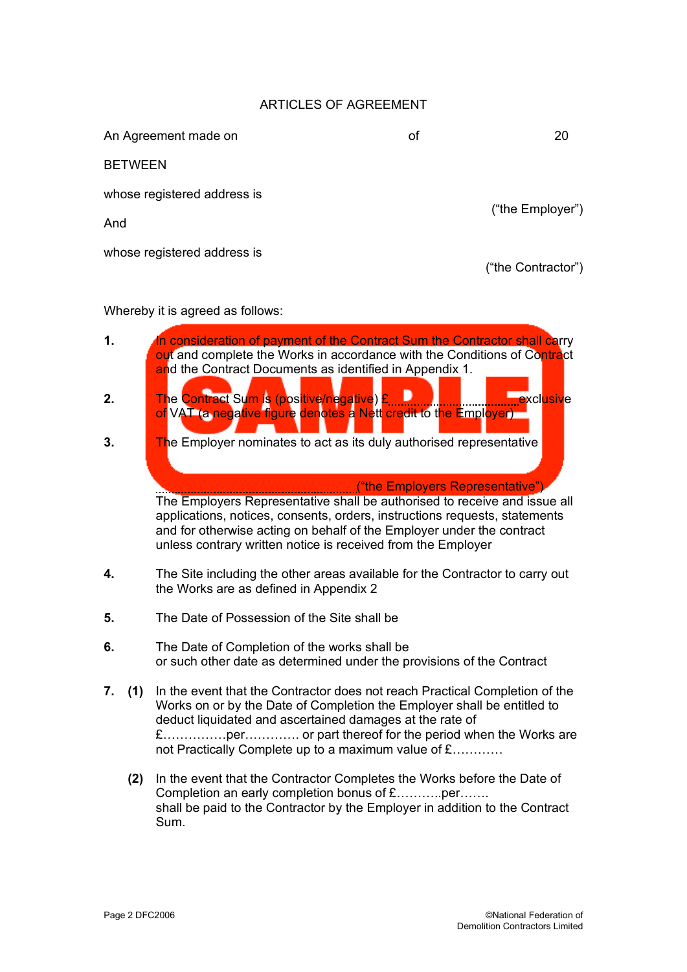#### ARTICLES OF AGREEMENT

| An Agreement made on        | οf | 20                 |  |
|-----------------------------|----|--------------------|--|
| <b>BETWEEN</b>              |    |                    |  |
| whose registered address is |    | ("the Employer")   |  |
| And                         |    |                    |  |
| whose registered address is |    | ("the Contractor") |  |

#### Whereby it is agreed as follows:

- **1.** In consideration of payment of the Contract Sum the Contractor shall carry out and complete the Works in accordance with the Conditions of Contract and the Contract Documents as identified in Appendix 1.
- **2.** The Contract Sum is (positive/negative) **£ 1. 2. 2. 2. 2. 2. 2. 2. 2. 2. 2.** exclusive of VAT (a negative figure denotes a Nett credit to the Employer)
- **3.** The Employer nominates to act as its duly authorised representative

("the Employers Representative") The Employers Representative shall be authorised to receive and issue all applications, notices, consents, orders, instructions requests, statements and for otherwise acting on behalf of the Employer under the contract unless contrary written notice is received from the Employer

- **4.** The Site including the other areas available for the Contractor to carry out the Works are as defined in Appendix 2
- **5.** The Date of Possession of the Site shall be
- **6.** The Date of Completion of the works shall be or such other date as determined under the provisions of the Contract
- **7. (1)** In the event that the Contractor does not reach Practical Completion of the Works on or by the Date of Completion the Employer shall be entitled to deduct liquidated and ascertained damages at the rate of £……………per…………. or part thereof for the period when the Works are not Practically Complete up to a maximum value of £…………
	- **(2)** In the event that the Contractor Completes the Works before the Date of Completion an early completion bonus of £………..per……. shall be paid to the Contractor by the Employer in addition to the Contract Sum.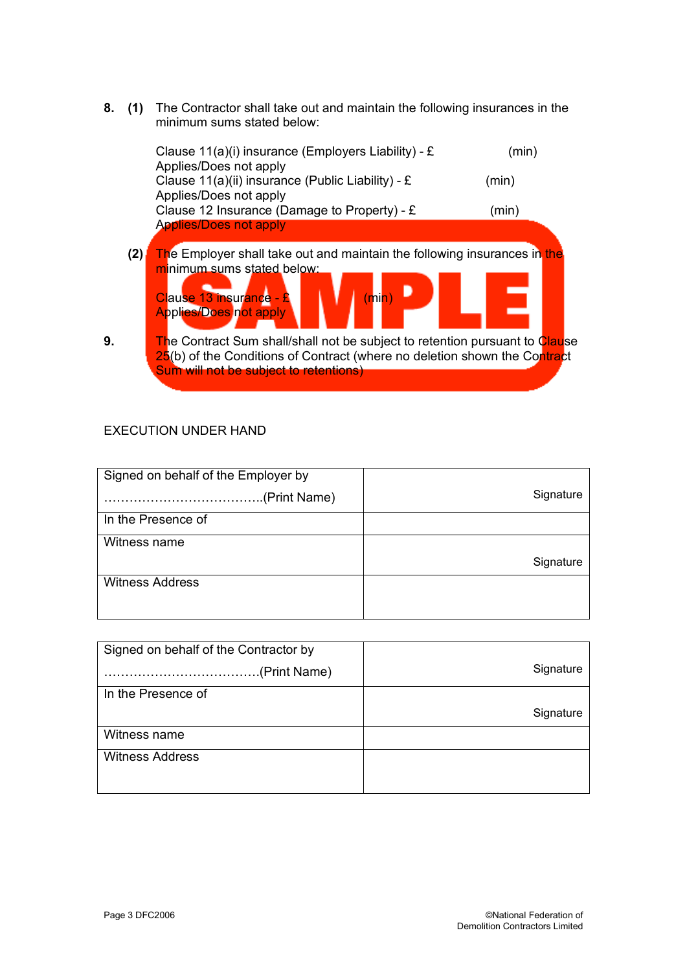**8. (1)** The Contractor shall take out and maintain the following insurances in the minimum sums stated below:

|    |     | Clause $11(a)(i)$ insurance (Employers Liability) - £<br>Applies/Does not apply                                                                                                                           | (min) |
|----|-----|-----------------------------------------------------------------------------------------------------------------------------------------------------------------------------------------------------------|-------|
|    |     | Clause 11(a)(ii) insurance (Public Liability) - £<br>Applies/Does not apply                                                                                                                               | (min) |
|    |     | Clause 12 Insurance (Damage to Property) - £<br><b>Applies/Does not apply</b>                                                                                                                             | (min) |
|    | (2) | The Employer shall take out and maintain the following insurances in the<br>minimum sums stated below:<br>Clause 13 insurance - £<br>(min)<br><b>Applies/Does not apply</b>                               |       |
| 9. |     | <b>The Contract Sum shall/shall not be subject to retention pursuant to Clause</b><br>25(b) of the Conditions of Contract (where no deletion shown the Contract<br>Sum will not be subject to retentions) |       |

# EXECUTION UNDER HAND

| Signed on behalf of the Employer by |           |
|-------------------------------------|-----------|
|                                     | Signature |
| In the Presence of                  |           |
| Witness name                        |           |
|                                     | Signature |
| <b>Witness Address</b>              |           |
|                                     |           |

| Signed on behalf of the Contractor by |           |
|---------------------------------------|-----------|
| (Print Name)                          | Signature |
| In the Presence of                    |           |
|                                       | Signature |
| Witness name                          |           |
| <b>Witness Address</b>                |           |
|                                       |           |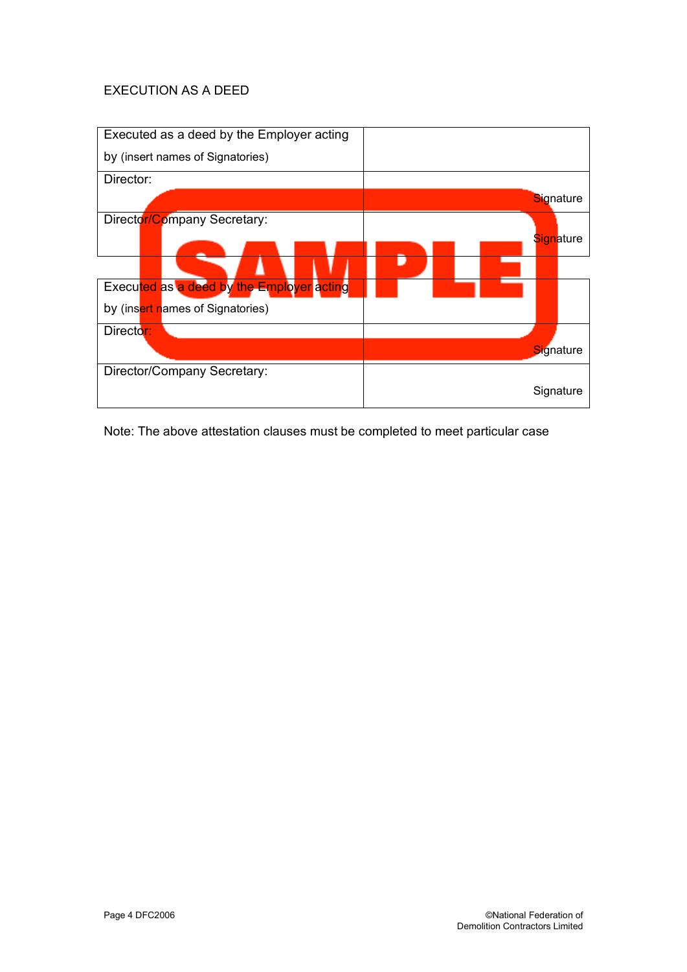# EXECUTION AS A DEED



Note: The above attestation clauses must be completed to meet particular case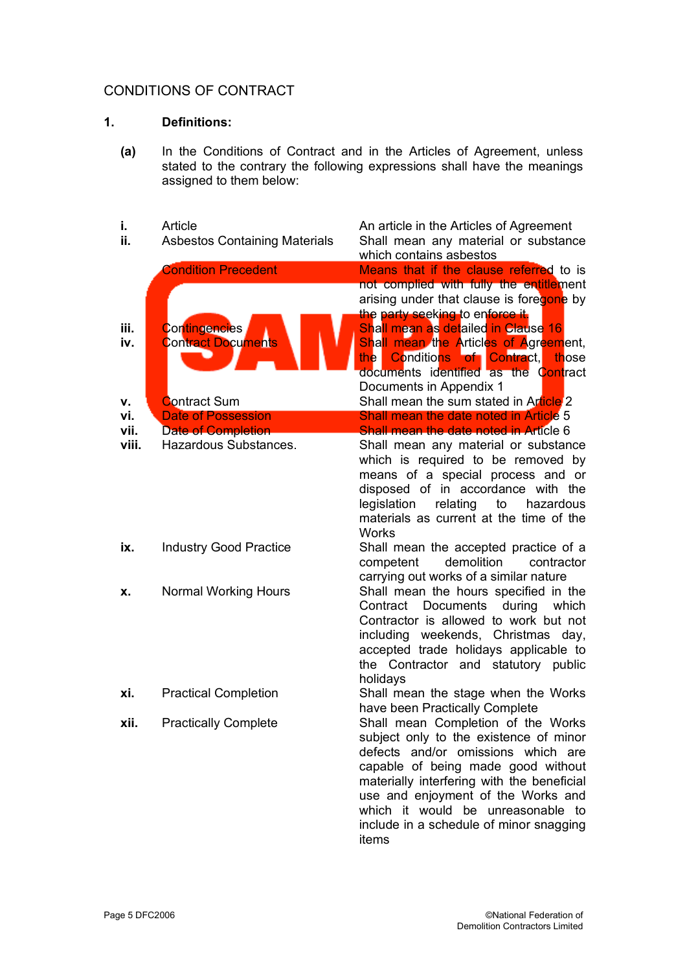# CONDITIONS OF CONTRACT

## **1. Definitions:**

- **(a)** In the Conditions of Contract and in the Articles of Agreement, unless stated to the contrary the following expressions shall have the meanings assigned to them below:
- **i.** Article Article Article Articles of Agreement **ii.** Asbestos Containing Materials Shall mean any material or substance which contains asbestos Condition Precedent **Means** that if the clause referred to is not complied with fully the entitlement arising under that clause is foregone by the party seeking to enforce it. **iii.** Contingencies Shall mean as detailed in Clause 16<br>**iv.** Contract Documents Shall mean the Articles of Agreem **iv.** Contract Documents Shall mean the Articles of Agreement, the Conditions of Contract, those documents identified as the Contract Documents in Appendix 1 **v.** Contract Sum Shall mean the sum stated in Article 2 **vi.** Date of Possession **Shall mean the date noted in Article 5 vii.** Date of Completion **Shall mean the date noted in Article 6 viii.** Hazardous Substances. Shall mean any material or substance which is required to be removed by means of a special process and or disposed of in accordance with the legislation relating to hazardous materials as current at the time of the **Works ix.** Industry Good Practice Shall mean the accepted practice of a competent demolition contractor carrying out works of a similar nature **x.** Normal Working Hours Shall mean the hours specified in the Contract Documents during which Contractor is allowed to work but not including weekends, Christmas day, accepted trade holidays applicable to the Contractor and statutory public holidays **xi.** Practical Completion Shall mean the stage when the Works have been Practically Complete **xii.** Practically Complete Shall mean Completion of the Works subject only to the existence of minor defects and/or omissions which are capable of being made good without materially interfering with the beneficial use and enjoyment of the Works and which it would be unreasonable to include in a schedule of minor snagging items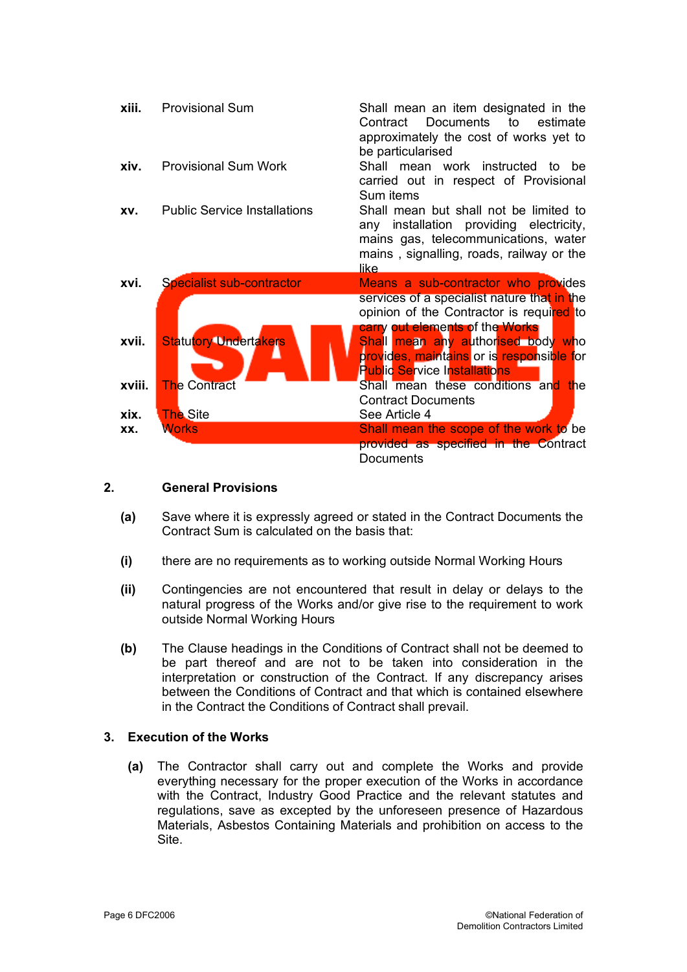| xiii.  | <b>Provisional Sum</b>              | Shall mean an item designated in the<br>Documents to<br>estimate<br>Contract<br>approximately the cost of works yet to<br>be particularised                                       |
|--------|-------------------------------------|-----------------------------------------------------------------------------------------------------------------------------------------------------------------------------------|
| xiv.   | <b>Provisional Sum Work</b>         | Shall mean work instructed<br>to be<br>carried out in respect of Provisional<br>Sum items                                                                                         |
| XV.    | <b>Public Service Installations</b> | Shall mean but shall not be limited to<br>installation providing electricity,<br>any<br>mains gas, telecommunications, water<br>mains, signalling, roads, railway or the<br>like. |
| xvi.   | <b>Specialist sub-contractor</b>    | Means a sub-contractor who provides<br>services of a specialist nature that in the<br>opinion of the Contractor is required to                                                    |
| xvii.  | <b>Statutory Undertakers</b>        | carry out elements of the Works<br>Shall mean any authorised body who<br>provides, maintains or is responsible for<br><b>Public Service Installations</b>                         |
| xviii. | <b>The Contract</b>                 | Shall mean these conditions and the<br><b>Contract Documents</b>                                                                                                                  |
| xix.   | <b>The Site</b>                     | See Article 4                                                                                                                                                                     |
| XX.    | <b>Works</b>                        | Shall mean the scope of the work to be<br>provided as specified in the Contract<br>Documents                                                                                      |

#### **2. General Provisions**

- **(a)** Save where it is expressly agreed or stated in the Contract Documents the Contract Sum is calculated on the basis that:
- **(i)** there are no requirements as to working outside Normal Working Hours
- **(ii)** Contingencies are not encountered that result in delay or delays to the natural progress of the Works and/or give rise to the requirement to work outside Normal Working Hours
- **(b)** The Clause headings in the Conditions of Contract shall not be deemed to be part thereof and are not to be taken into consideration in the interpretation or construction of the Contract. If any discrepancy arises between the Conditions of Contract and that which is contained elsewhere in the Contract the Conditions of Contract shall prevail.

## **3. Execution of the Works**

**(a)** The Contractor shall carry out and complete the Works and provide everything necessary for the proper execution of the Works in accordance with the Contract, Industry Good Practice and the relevant statutes and regulations, save as excepted by the unforeseen presence of Hazardous Materials, Asbestos Containing Materials and prohibition on access to the Site.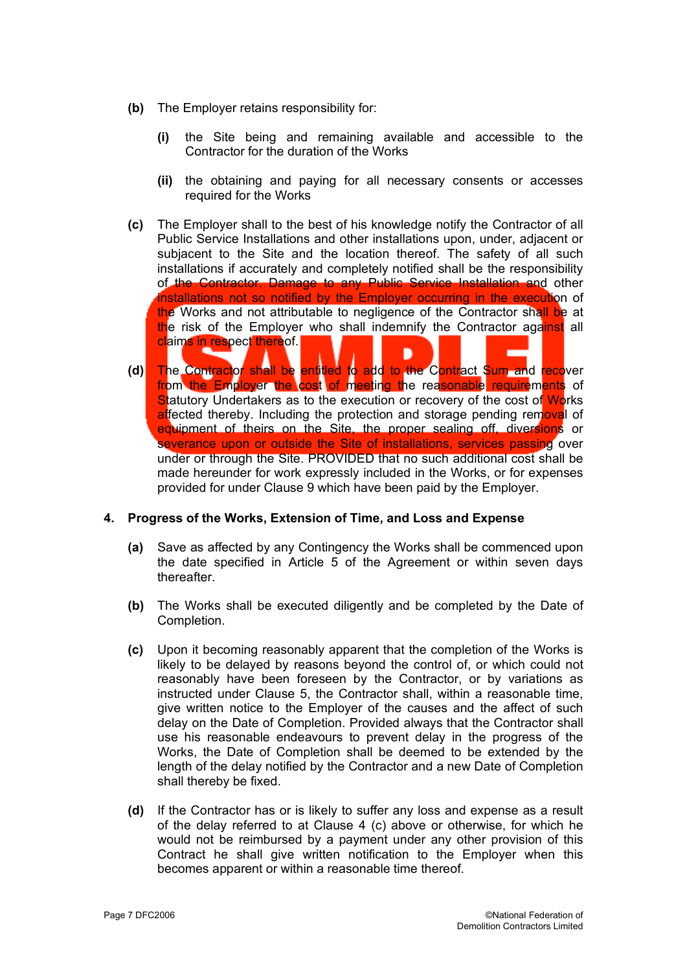- **(b)** The Employer retains responsibility for:
	- **(i)** the Site being and remaining available and accessible to the Contractor for the duration of the Works
	- **(ii)** the obtaining and paying for all necessary consents or accesses required for the Works
- **(c)** The Employer shall to the best of his knowledge notify the Contractor of all Public Service Installations and other installations upon, under, adjacent or subjacent to the Site and the location thereof. The safety of all such installations if accurately and completely notified shall be the responsibility of the Contractor. Damage to any Public Service Installation and other installations not so notified by the Employer occurring in the execution of the Works and not attributable to negligence of the Contractor shall be at the risk of the Employer who shall indemnify the Contractor against all claims in respect thereof.
- **(d)** The Contractor shall be entitled to add to the Contract Sum and recover from the Employer the cost of meeting the reasonable requirements of Statutory Undertakers as to the execution or recovery of the cost of Works affected thereby. Including the protection and storage pending removal of equipment of theirs on the Site, the proper sealing off, diversions or severance upon or outside the Site of installations, services passing over under or through the Site. PROVIDED that no such additional cost shall be made hereunder for work expressly included in the Works, or for expenses provided for under Clause 9 which have been paid by the Employer.

#### **4. Progress of the Works, Extension of Time, and Loss and Expense**

- **(a)** Save as affected by any Contingency the Works shall be commenced upon the date specified in Article 5 of the Agreement or within seven days thereafter.
- **(b)** The Works shall be executed diligently and be completed by the Date of Completion.
- **(c)** Upon it becoming reasonably apparent that the completion of the Works is likely to be delayed by reasons beyond the control of, or which could not reasonably have been foreseen by the Contractor, or by variations as instructed under Clause 5, the Contractor shall, within a reasonable time, give written notice to the Employer of the causes and the affect of such delay on the Date of Completion. Provided always that the Contractor shall use his reasonable endeavours to prevent delay in the progress of the Works, the Date of Completion shall be deemed to be extended by the length of the delay notified by the Contractor and a new Date of Completion shall thereby be fixed.
- **(d)** If the Contractor has or is likely to suffer any loss and expense as a result of the delay referred to at Clause 4 (c) above or otherwise, for which he would not be reimbursed by a payment under any other provision of this Contract he shall give written notification to the Employer when this becomes apparent or within a reasonable time thereof.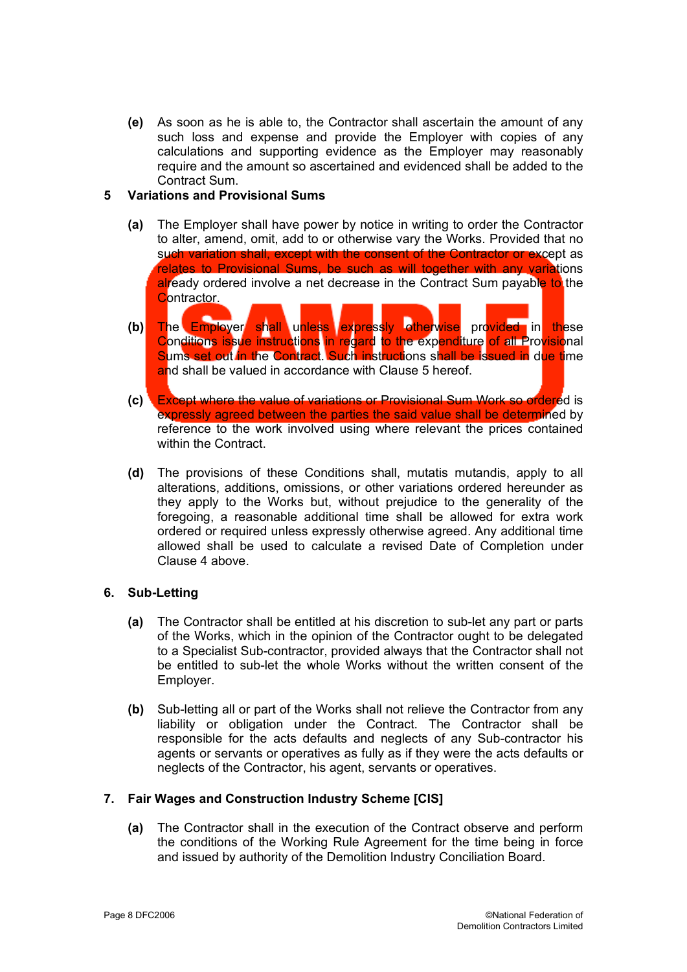**(e)** As soon as he is able to, the Contractor shall ascertain the amount of any such loss and expense and provide the Employer with copies of any calculations and supporting evidence as the Employer may reasonably require and the amount so ascertained and evidenced shall be added to the Contract Sum.

## **5 Variations and Provisional Sums**

- **(a)** The Employer shall have power by notice in writing to order the Contractor to alter, amend, omit, add to or otherwise vary the Works. Provided that no such variation shall, except with the consent of the Contractor or except as relates to Provisional Sums, be such as will together with any variations already ordered involve a net decrease in the Contract Sum payable to the Contractor.
- **(b)** The Employer shall unless expressly otherwise provided in these Conditions issue instructions in regard to the expenditure of all Provisional Sums set out in the Contract. Such instructions shall be issued in due time and shall be valued in accordance with Clause 5 hereof.
- **(c)** Except where the value of variations or Provisional Sum Work so ordered is expressly agreed between the parties the said value shall be determined by reference to the work involved using where relevant the prices contained within the Contract.
- **(d)** The provisions of these Conditions shall, mutatis mutandis, apply to all alterations, additions, omissions, or other variations ordered hereunder as they apply to the Works but, without prejudice to the generality of the foregoing, a reasonable additional time shall be allowed for extra work ordered or required unless expressly otherwise agreed. Any additional time allowed shall be used to calculate a revised Date of Completion under Clause 4 above.

## **6. Sub-Letting**

- **(a)** The Contractor shall be entitled at his discretion to sub-let any part or parts of the Works, which in the opinion of the Contractor ought to be delegated to a Specialist Sub-contractor, provided always that the Contractor shall not be entitled to sub-let the whole Works without the written consent of the Employer.
- **(b)** Sub-letting all or part of the Works shall not relieve the Contractor from any liability or obligation under the Contract. The Contractor shall be responsible for the acts defaults and neglects of any Sub-contractor his agents or servants or operatives as fully as if they were the acts defaults or neglects of the Contractor, his agent, servants or operatives.

## **7. Fair Wages and Construction Industry Scheme [CIS]**

**(a)** The Contractor shall in the execution of the Contract observe and perform the conditions of the Working Rule Agreement for the time being in force and issued by authority of the Demolition Industry Conciliation Board.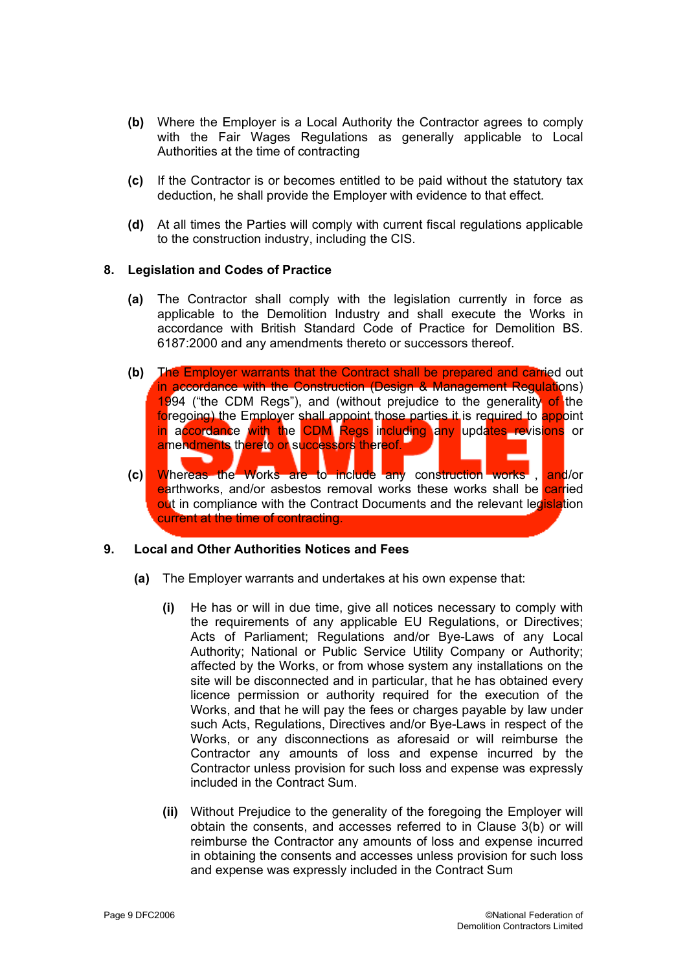- **(b)** Where the Employer is a Local Authority the Contractor agrees to comply with the Fair Wages Regulations as generally applicable to Local Authorities at the time of contracting
- **(c)** If the Contractor is or becomes entitled to be paid without the statutory tax deduction, he shall provide the Employer with evidence to that effect.
- **(d)** At all times the Parties will comply with current fiscal regulations applicable to the construction industry, including the CIS.

#### **8. Legislation and Codes of Practice**

- **(a)** The Contractor shall comply with the legislation currently in force as applicable to the Demolition Industry and shall execute the Works in accordance with British Standard Code of Practice for Demolition BS. 6187:2000 and any amendments thereto or successors thereof.
- **(b)** The Employer warrants that the Contract shall be prepared and carried out in accordance with the Construction (Design & Management Regulations) 1994 ("the CDM Regs"), and (without prejudice to the generality of the foregoing) the Employer shall appoint those parties it is required to appoint in accordance with the CDM Regs including any updates revisions or amendments thereto or successors thereof. **(c)** Whereas the Works are to include any construction works , and/or earthworks, and/or asbestos removal works these works shall be **carried** out in compliance with the Contract Documents and the relevant legislation current at the time of contracting.

#### **9. Local and Other Authorities Notices and Fees**

- **(a)** The Employer warrants and undertakes at his own expense that:
	- **(i)** He has or will in due time, give all notices necessary to comply with the requirements of any applicable EU Regulations, or Directives; Acts of Parliament; Regulations and/or Bye-Laws of any Local Authority; National or Public Service Utility Company or Authority; affected by the Works, or from whose system any installations on the site will be disconnected and in particular, that he has obtained every licence permission or authority required for the execution of the Works, and that he will pay the fees or charges payable by law under such Acts, Regulations, Directives and/or Bye-Laws in respect of the Works, or any disconnections as aforesaid or will reimburse the Contractor any amounts of loss and expense incurred by the Contractor unless provision for such loss and expense was expressly included in the Contract Sum.
	- **(ii)** Without Prejudice to the generality of the foregoing the Employer will obtain the consents, and accesses referred to in Clause 3(b) or will reimburse the Contractor any amounts of loss and expense incurred in obtaining the consents and accesses unless provision for such loss and expense was expressly included in the Contract Sum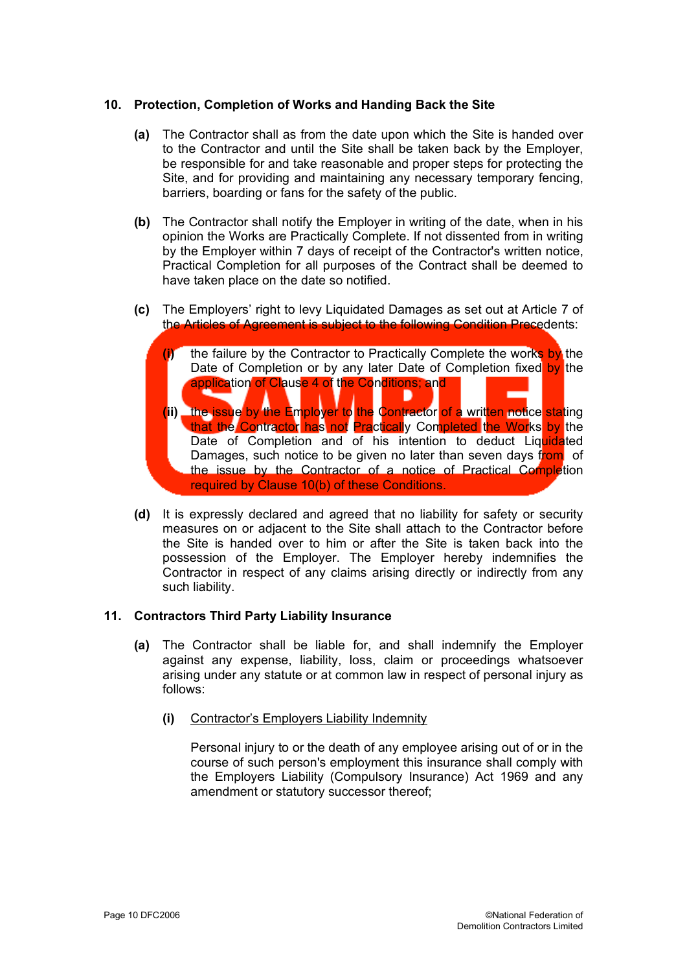## **10. Protection, Completion of Works and Handing Back the Site**

- **(a)** The Contractor shall as from the date upon which the Site is handed over to the Contractor and until the Site shall be taken back by the Employer, be responsible for and take reasonable and proper steps for protecting the Site, and for providing and maintaining any necessary temporary fencing, barriers, boarding or fans for the safety of the public.
- **(b)** The Contractor shall notify the Employer in writing of the date, when in his opinion the Works are Practically Complete. If not dissented from in writing by the Employer within 7 days of receipt of the Contractor's written notice, Practical Completion for all purposes of the Contract shall be deemed to have taken place on the date so notified.
- **(c)** The Employers' right to levy Liquidated Damages as set out at Article 7 of the Articles of Agreement is subject to the following Condition Precedents:
	- **(i)** the failure by the Contractor to Practically Complete the works by the Date of Completion or by any later Date of Completion fixed by the application of Clause 4 of the Conditions; and **(ii)** the issue by the Employer to the Contractor of a written notice stating that the Contractor has not Practically Completed the Works by the Date of Completion and of his intention to deduct Liquidated Damages, such notice to be given no later than seven days from of the issue by the Contractor of a notice of Practical Completion required by Clause 10(b) of these Conditions.
- **(d)** It is expressly declared and agreed that no liability for safety or security measures on or adjacent to the Site shall attach to the Contractor before the Site is handed over to him or after the Site is taken back into the possession of the Employer. The Employer hereby indemnifies the Contractor in respect of any claims arising directly or indirectly from any such liability.

## **11. Contractors Third Party Liability Insurance**

- **(a)** The Contractor shall be liable for, and shall indemnify the Employer against any expense, liability, loss, claim or proceedings whatsoever arising under any statute or at common law in respect of personal injury as follows:
	- **(i)** Contractor's Employers Liability Indemnity

Personal injury to or the death of any employee arising out of or in the course of such person's employment this insurance shall comply with the Employers Liability (Compulsory Insurance) Act 1969 and any amendment or statutory successor thereof;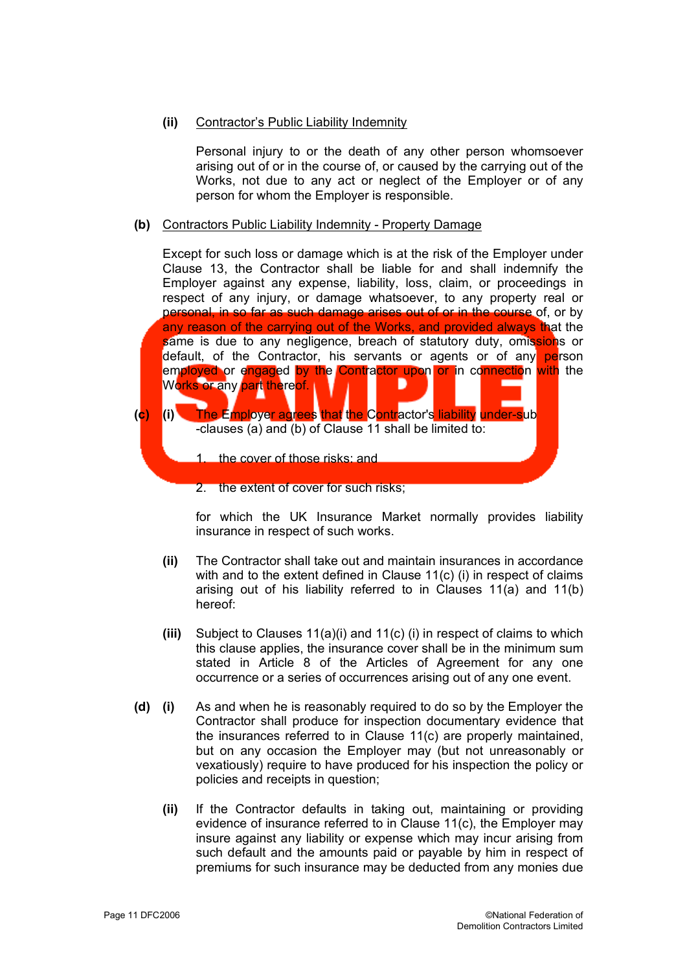## **(ii)** Contractor's Public Liability Indemnity

Personal injury to or the death of any other person whomsoever arising out of or in the course of, or caused by the carrying out of the Works, not due to any act or neglect of the Employer or of any person for whom the Employer is responsible.

#### **(b)** Contractors Public Liability Indemnity - Property Damage

Except for such loss or damage which is at the risk of the Employer under Clause 13, the Contractor shall be liable for and shall indemnify the Employer against any expense, liability, loss, claim, or proceedings in respect of any injury, or damage whatsoever, to any property real or personal, in so far as such damage arises out of or in the course of, or by any reason of the carrying out of the Works, and provided always that the same is due to any negligence, breach of statutory duty, omissions or default, of the Contractor, his servants or agents or of any person employed or engaged by the Contractor upon or in connection with the Works or any part thereof. D **(c) (i)** The Employer agrees that the Contractor's liability under-sub -clauses (a) and (b) of Clause 11 shall be limited to: 1. the cover of those risks: and

2. the extent of cover for such risks;

for which the UK Insurance Market normally provides liability insurance in respect of such works.

- **(ii)** The Contractor shall take out and maintain insurances in accordance with and to the extent defined in Clause 11(c) (i) in respect of claims arising out of his liability referred to in Clauses 11(a) and 11(b) hereof:
- **(iii)** Subject to Clauses 11(a)(i) and 11(c) (i) in respect of claims to which this clause applies, the insurance cover shall be in the minimum sum stated in Article 8 of the Articles of Agreement for any one occurrence or a series of occurrences arising out of any one event.
- **(d) (i)** As and when he is reasonably required to do so by the Employer the Contractor shall produce for inspection documentary evidence that the insurances referred to in Clause 11(c) are properly maintained, but on any occasion the Employer may (but not unreasonably or vexatiously) require to have produced for his inspection the policy or policies and receipts in question;
	- **(ii)** If the Contractor defaults in taking out, maintaining or providing evidence of insurance referred to in Clause 11(c), the Employer may insure against any liability or expense which may incur arising from such default and the amounts paid or payable by him in respect of premiums for such insurance may be deducted from any monies due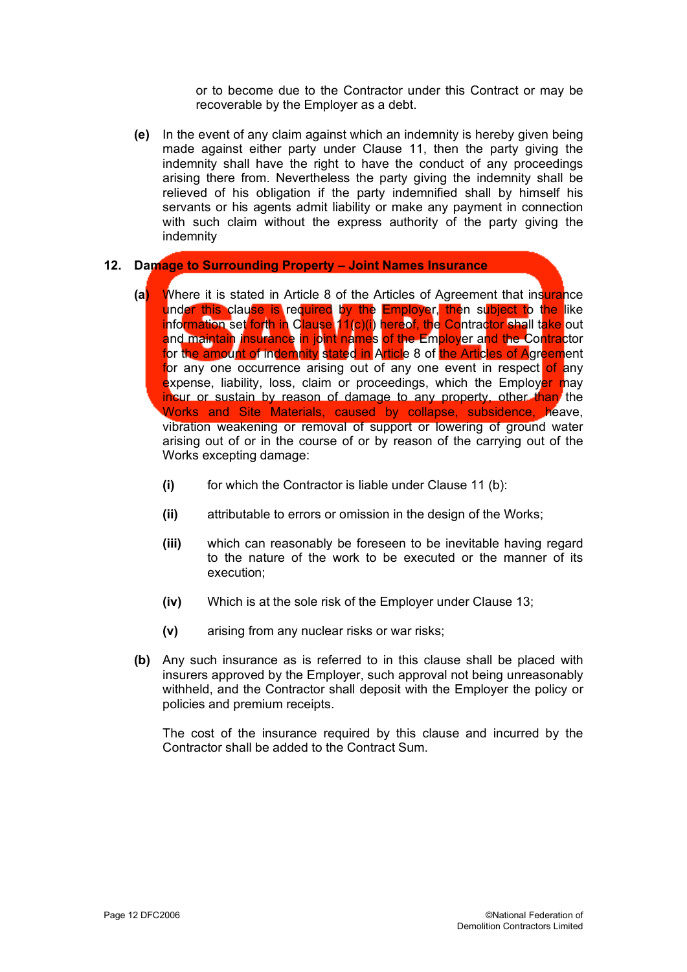or to become due to the Contractor under this Contract or may be recoverable by the Employer as a debt.

**(e)** In the event of any claim against which an indemnity is hereby given being made against either party under Clause 11, then the party giving the indemnity shall have the right to have the conduct of any proceedings arising there from. Nevertheless the party giving the indemnity shall be relieved of his obligation if the party indemnified shall by himself his servants or his agents admit liability or make any payment in connection with such claim without the express authority of the party giving the indemnity

#### **12. Damage to Surrounding Property – Joint Names Insurance**

- **(a)** Where it is stated in Article 8 of the Articles of Agreement that insurance under this clause is required by the Employer, then subject to the like information set forth in Clause 11(c)(i) hereof, the Contractor shall take out and maintain insurance in joint names of the Employer and the Contractor for the amount of indemnity stated in Article 8 of the Articles of Agreement for any one occurrence arising out of any one event in respect of any expense, liability, loss, claim or proceedings, which the Employer may incur or sustain by reason of damage to any property, other than the Works and Site Materials, caused by collapse, subsidence, heave, vibration weakening or removal of support or lowering of ground water arising out of or in the course of or by reason of the carrying out of the Works excepting damage:
	- **(i)** for which the Contractor is liable under Clause 11 (b):
	- **(ii)** attributable to errors or omission in the design of the Works;
	- **(iii)** which can reasonably be foreseen to be inevitable having regard to the nature of the work to be executed or the manner of its execution;
	- **(iv)** Which is at the sole risk of the Employer under Clause 13;
	- **(v)** arising from any nuclear risks or war risks;
- **(b)** Any such insurance as is referred to in this clause shall be placed with insurers approved by the Employer, such approval not being unreasonably withheld, and the Contractor shall deposit with the Employer the policy or policies and premium receipts.

The cost of the insurance required by this clause and incurred by the Contractor shall be added to the Contract Sum.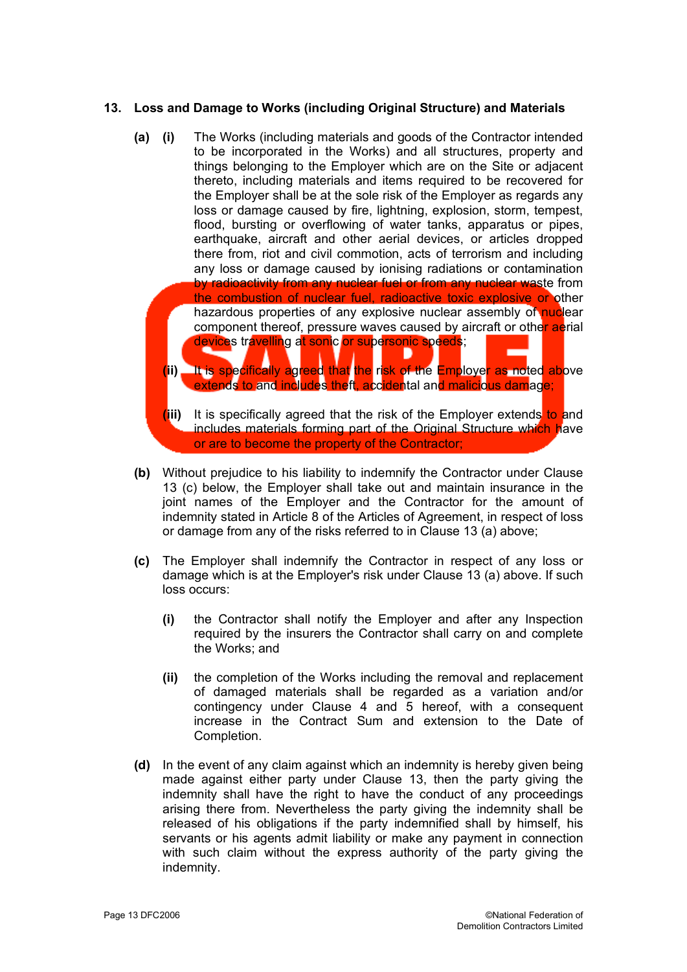## **13. Loss and Damage to Works (including Original Structure) and Materials**

- **(a) (i)** The Works (including materials and goods of the Contractor intended to be incorporated in the Works) and all structures, property and things belonging to the Employer which are on the Site or adjacent thereto, including materials and items required to be recovered for the Employer shall be at the sole risk of the Employer as regards any loss or damage caused by fire, lightning, explosion, storm, tempest, flood, bursting or overflowing of water tanks, apparatus or pipes, earthquake, aircraft and other aerial devices, or articles dropped there from, riot and civil commotion, acts of terrorism and including any loss or damage caused by ionising radiations or contamination by radioactivity from any nuclear fuel or from any nuclear waste from the combustion of nuclear fuel, radioactive toxic explosive or other hazardous properties of any explosive nuclear assembly of nuclear component thereof, pressure waves caused by aircraft or other aerial devices travelling at sonic or supersonic speeds;
	- **(ii)** It is specifically agreed that the risk of the Employer as noted above extends to and includes theft, accidental and malicious damage;
	- **(iii)** It is specifically agreed that the risk of the Employer extends to and includes materials forming part of the Original Structure which have or are to become the property of the Contractor;
- **(b)** Without prejudice to his liability to indemnify the Contractor under Clause 13 (c) below, the Employer shall take out and maintain insurance in the joint names of the Employer and the Contractor for the amount of indemnity stated in Article 8 of the Articles of Agreement, in respect of loss or damage from any of the risks referred to in Clause 13 (a) above;
- **(c)** The Employer shall indemnify the Contractor in respect of any loss or damage which is at the Employer's risk under Clause 13 (a) above. If such loss occurs:
	- **(i)** the Contractor shall notify the Employer and after any Inspection required by the insurers the Contractor shall carry on and complete the Works; and
	- **(ii)** the completion of the Works including the removal and replacement of damaged materials shall be regarded as a variation and/or contingency under Clause 4 and 5 hereof, with a consequent increase in the Contract Sum and extension to the Date of Completion.
- **(d)** In the event of any claim against which an indemnity is hereby given being made against either party under Clause 13, then the party giving the indemnity shall have the right to have the conduct of any proceedings arising there from. Nevertheless the party giving the indemnity shall be released of his obligations if the party indemnified shall by himself, his servants or his agents admit liability or make any payment in connection with such claim without the express authority of the party giving the indemnity.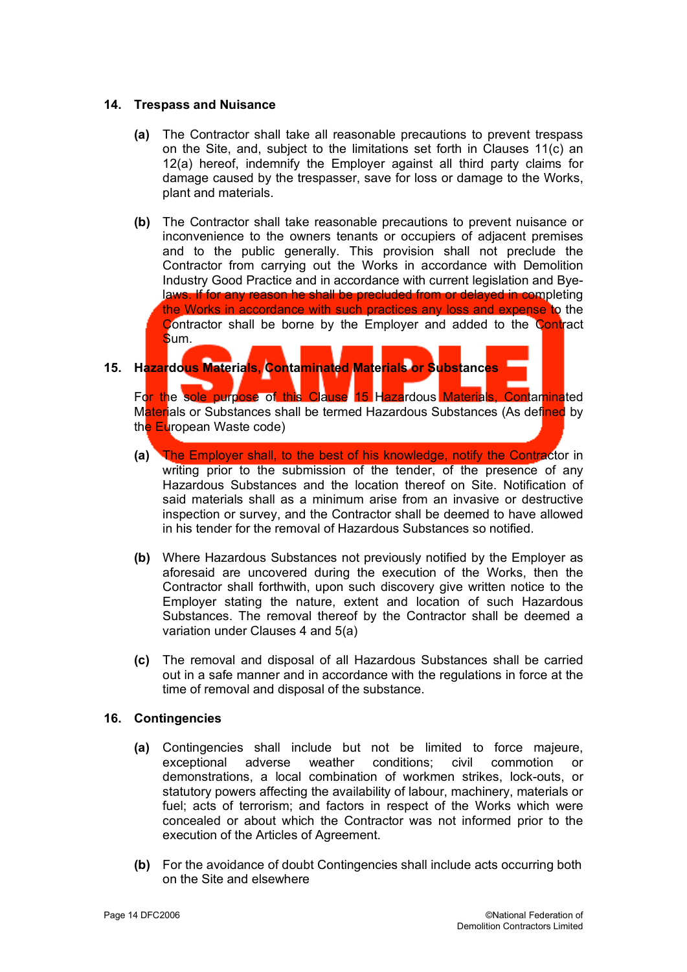#### **14. Trespass and Nuisance**

- **(a)** The Contractor shall take all reasonable precautions to prevent trespass on the Site, and, subject to the limitations set forth in Clauses 11(c) an 12(a) hereof, indemnify the Employer against all third party claims for damage caused by the trespasser, save for loss or damage to the Works, plant and materials.
- **(b)** The Contractor shall take reasonable precautions to prevent nuisance or inconvenience to the owners tenants or occupiers of adjacent premises and to the public generally. This provision shall not preclude the Contractor from carrying out the Works in accordance with Demolition Industry Good Practice and in accordance with current legislation and Byelaws. If for any reason he shall be precluded from or delayed in completing the Works in accordance with such practices any loss and expense to the Contractor shall be borne by the Employer and added to the Contract Sum.

# **15. Hazardous Materials, Contaminated Materials or Substances**

For the sole purpose of this Clause 15 Hazardous Materials, Contaminated Materials or Substances shall be termed Hazardous Substances (As defined by the European Waste code)

- **(a)** The Employer shall, to the best of his knowledge, notify the Contractor in writing prior to the submission of the tender, of the presence of any Hazardous Substances and the location thereof on Site. Notification of said materials shall as a minimum arise from an invasive or destructive inspection or survey, and the Contractor shall be deemed to have allowed in his tender for the removal of Hazardous Substances so notified.
- **(b)** Where Hazardous Substances not previously notified by the Employer as aforesaid are uncovered during the execution of the Works, then the Contractor shall forthwith, upon such discovery give written notice to the Employer stating the nature, extent and location of such Hazardous Substances. The removal thereof by the Contractor shall be deemed a variation under Clauses 4 and 5(a)
- **(c)** The removal and disposal of all Hazardous Substances shall be carried out in a safe manner and in accordance with the regulations in force at the time of removal and disposal of the substance.

## **16. Contingencies**

- **(a)** Contingencies shall include but not be limited to force majeure, exceptional adverse weather conditions; civil commotion or demonstrations, a local combination of workmen strikes, lock-outs, or statutory powers affecting the availability of labour, machinery, materials or fuel; acts of terrorism; and factors in respect of the Works which were concealed or about which the Contractor was not informed prior to the execution of the Articles of Agreement.
- **(b)** For the avoidance of doubt Contingencies shall include acts occurring both on the Site and elsewhere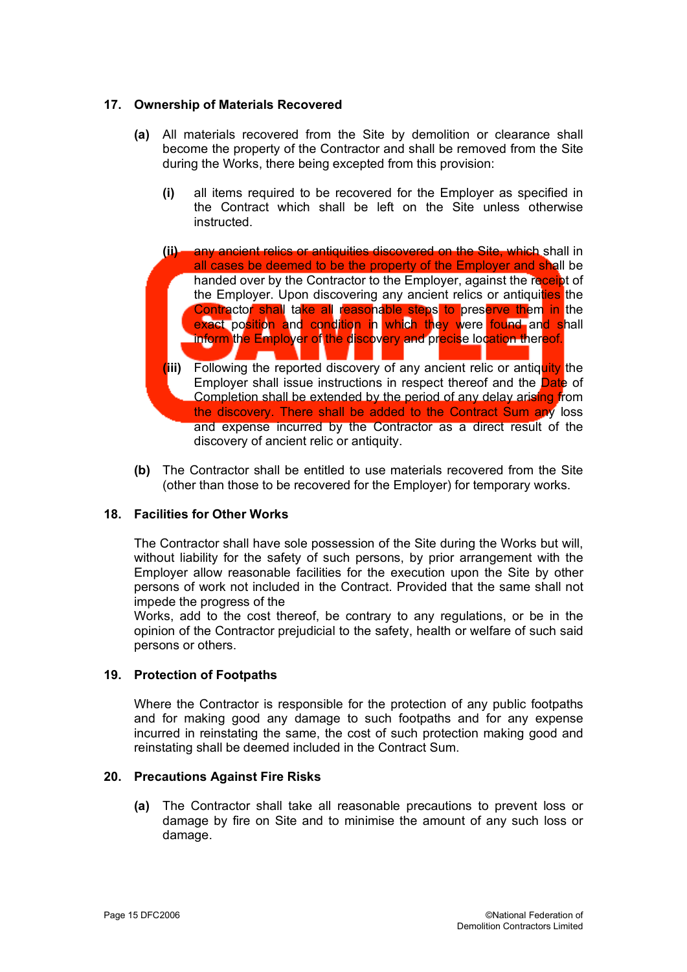## **17. Ownership of Materials Recovered**

- **(a)** All materials recovered from the Site by demolition or clearance shall become the property of the Contractor and shall be removed from the Site during the Works, there being excepted from this provision:
	- **(i)** all items required to be recovered for the Employer as specified in the Contract which shall be left on the Site unless otherwise instructed.
	- **(ii)** any ancient relics or antiquities discovered on the Site, which shall in all cases be deemed to be the property of the Employer and shall be handed over by the Contractor to the Employer, against the receipt of the Employer. Upon discovering any ancient relics or antiquities the Contractor shall take all reasonable steps to preserve them in the exact position and condition in which they were found and shall inform the Employer of the discovery and precise location thereof.
	- **(iii)** Following the reported discovery of any ancient relic or antiquity the Employer shall issue instructions in respect thereof and the **Date** of Completion shall be extended by the period of any delay arising from the discovery. There shall be added to the Contract Sum any loss and expense incurred by the Contractor as a direct result of the discovery of ancient relic or antiquity.
- **(b)** The Contractor shall be entitled to use materials recovered from the Site (other than those to be recovered for the Employer) for temporary works.

# **18. Facilities for Other Works**

The Contractor shall have sole possession of the Site during the Works but will, without liability for the safety of such persons, by prior arrangement with the Employer allow reasonable facilities for the execution upon the Site by other persons of work not included in the Contract. Provided that the same shall not impede the progress of the

Works, add to the cost thereof, be contrary to any regulations, or be in the opinion of the Contractor prejudicial to the safety, health or welfare of such said persons or others.

## **19. Protection of Footpaths**

Where the Contractor is responsible for the protection of any public footpaths and for making good any damage to such footpaths and for any expense incurred in reinstating the same, the cost of such protection making good and reinstating shall be deemed included in the Contract Sum.

## **20. Precautions Against Fire Risks**

**(a)** The Contractor shall take all reasonable precautions to prevent loss or damage by fire on Site and to minimise the amount of any such loss or damage.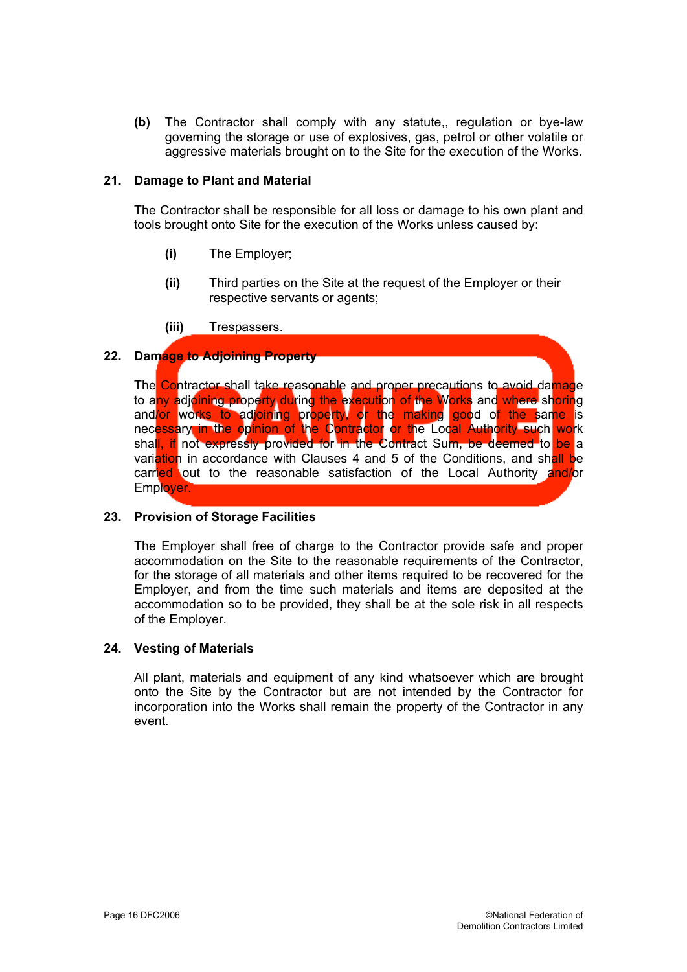**(b)** The Contractor shall comply with any statute,, regulation or bye-law governing the storage or use of explosives, gas, petrol or other volatile or aggressive materials brought on to the Site for the execution of the Works.

#### **21. Damage to Plant and Material**

The Contractor shall be responsible for all loss or damage to his own plant and tools brought onto Site for the execution of the Works unless caused by:

- **(i)** The Employer;
- **(ii)** Third parties on the Site at the request of the Employer or their respective servants or agents;
- **(iii)** Trespassers.

## **22. Damage to Adjoining Property**

The Contractor shall take reasonable and proper precautions to avoid damage to any adjoining property during the execution of the Works and where shoring and/or works to adjoining property, or the making good of the same is necessary in the opinion of the Contractor or the Local Authority such work shall, if not expressly provided for in the Contract Sum, be deemed to be a variation in accordance with Clauses 4 and 5 of the Conditions, and shall be carried out to the reasonable satisfaction of the Local Authority and/or Employer.

## **23. Provision of Storage Facilities**

The Employer shall free of charge to the Contractor provide safe and proper accommodation on the Site to the reasonable requirements of the Contractor, for the storage of all materials and other items required to be recovered for the Employer, and from the time such materials and items are deposited at the accommodation so to be provided, they shall be at the sole risk in all respects of the Employer.

#### **24. Vesting of Materials**

All plant, materials and equipment of any kind whatsoever which are brought onto the Site by the Contractor but are not intended by the Contractor for incorporation into the Works shall remain the property of the Contractor in any event.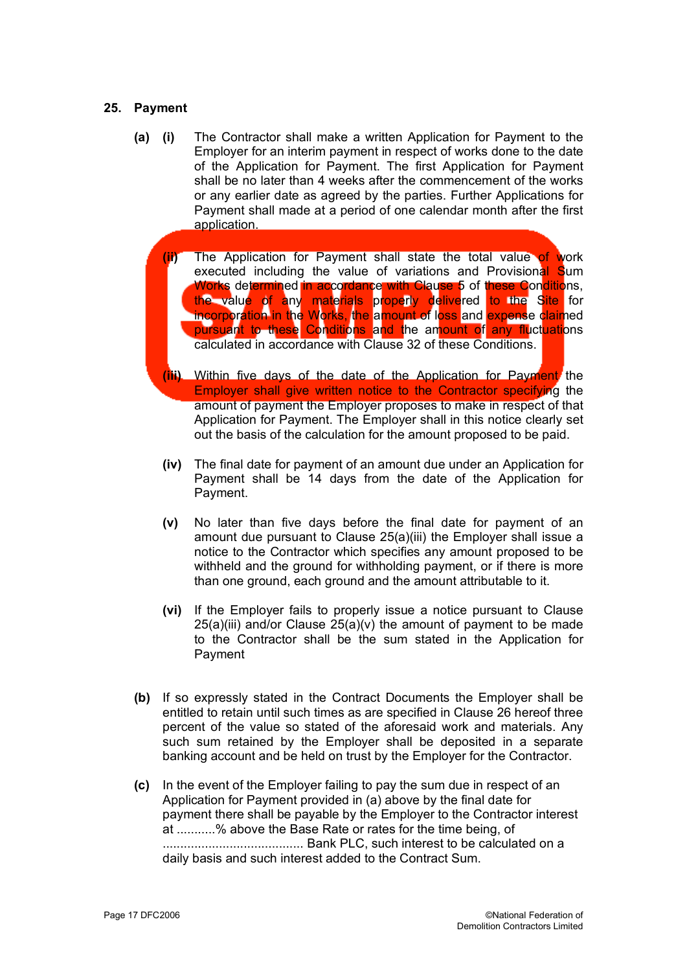#### **25. Payment**

- **(i)** The Contractor shall make a written Application for Payment to the Employer for an interim payment in respect of works done to the date of the Application for Payment. The first Application for Payment shall be no later than 4 weeks after the commencement of the works or any earlier date as agreed by the parties. Further Applications for Payment shall made at a period of one calendar month after the first application. **(a)**
	- **(ii)** The Application for Payment shall state the total value of work executed including the value of variations and Provisional Sum Works determined in accordance with Clause 5 of these Conditions, the value of any materials properly delivered to the Site for incorporation in the Works, the amount of loss and expense claimed pursuant to these Conditions and the amount of any fluctuations calculated in accordance with Clause 32 of these Conditions.
	- **(iii)** Within five days of the date of the Application for Payment the Employer shall give written notice to the Contractor specifying the amount of payment the Employer proposes to make in respect of that Application for Payment. The Employer shall in this notice clearly set out the basis of the calculation for the amount proposed to be paid.
	- **(iv)** The final date for payment of an amount due under an Application for Payment shall be 14 days from the date of the Application for Payment.
	- **(v)** No later than five days before the final date for payment of an amount due pursuant to Clause 25(a)(iii) the Employer shall issue a notice to the Contractor which specifies any amount proposed to be withheld and the ground for withholding payment, or if there is more than one ground, each ground and the amount attributable to it.
	- **(vi)** If the Employer fails to properly issue a notice pursuant to Clause  $25(a)(iii)$  and/or Clause  $25(a)(v)$  the amount of payment to be made to the Contractor shall be the sum stated in the Application for Payment
- **(b)** If so expressly stated in the Contract Documents the Employer shall be entitled to retain until such times as are specified in Clause 26 hereof three percent of the value so stated of the aforesaid work and materials. Any such sum retained by the Employer shall be deposited in a separate banking account and be held on trust by the Employer for the Contractor.
- **(c)** In the event of the Employer failing to pay the sum due in respect of an Application for Payment provided in (a) above by the final date for payment there shall be payable by the Employer to the Contractor interest at ...........% above the Base Rate or rates for the time being, of ........................................ Bank PLC, such interest to be calculated on a daily basis and such interest added to the Contract Sum.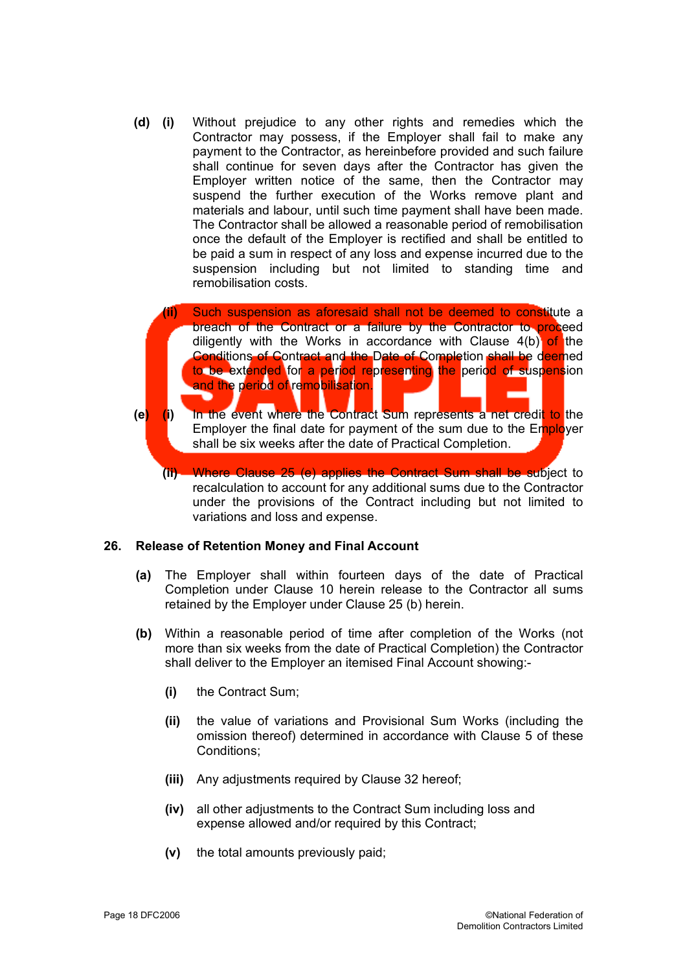**(d) (i)** Without prejudice to any other rights and remedies which the Contractor may possess, if the Employer shall fail to make any payment to the Contractor, as hereinbefore provided and such failure shall continue for seven days after the Contractor has given the Employer written notice of the same, then the Contractor may suspend the further execution of the Works remove plant and materials and labour, until such time payment shall have been made. The Contractor shall be allowed a reasonable period of remobilisation once the default of the Employer is rectified and shall be entitled to be paid a sum in respect of any loss and expense incurred due to the suspension including but not limited to standing time and remobilisation costs.



**(ii)** Where Clause 25 (e) applies the Contract Sum shall be subject to recalculation to account for any additional sums due to the Contractor under the provisions of the Contract including but not limited to variations and loss and expense.

#### **26. Release of Retention Money and Final Account**

- **(a)** The Employer shall within fourteen days of the date of Practical Completion under Clause 10 herein release to the Contractor all sums retained by the Employer under Clause 25 (b) herein.
- **(b)** Within a reasonable period of time after completion of the Works (not more than six weeks from the date of Practical Completion) the Contractor shall deliver to the Employer an itemised Final Account showing:-
	- **(i)** the Contract Sum;
	- **(ii)** the value of variations and Provisional Sum Works (including the omission thereof) determined in accordance with Clause 5 of these Conditions;
	- **(iii)** Any adjustments required by Clause 32 hereof;
	- **(iv)** all other adjustments to the Contract Sum including loss and expense allowed and/or required by this Contract;
	- **(v)** the total amounts previously paid;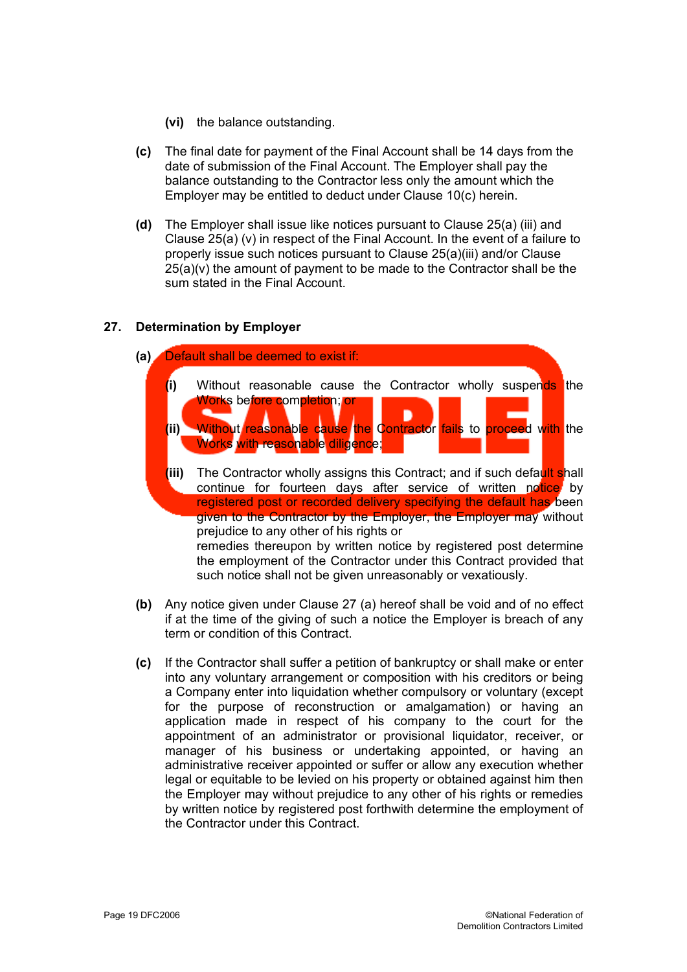- **(vi)** the balance outstanding.
- **(c)** The final date for payment of the Final Account shall be 14 days from the date of submission of the Final Account. The Employer shall pay the balance outstanding to the Contractor less only the amount which the Employer may be entitled to deduct under Clause 10(c) herein.
- **(d)** The Employer shall issue like notices pursuant to Clause 25(a) (iii) and Clause 25(a) (v) in respect of the Final Account. In the event of a failure to properly issue such notices pursuant to Clause 25(a)(iii) and/or Clause  $25(a)(v)$  the amount of payment to be made to the Contractor shall be the sum stated in the Final Account.

# **27. Determination by Employer**



- **(b)** Any notice given under Clause 27 (a) hereof shall be void and of no effect if at the time of the giving of such a notice the Employer is breach of any term or condition of this Contract.
- **(c)** If the Contractor shall suffer a petition of bankruptcy or shall make or enter into any voluntary arrangement or composition with his creditors or being a Company enter into liquidation whether compulsory or voluntary (except for the purpose of reconstruction or amalgamation) or having an application made in respect of his company to the court for the appointment of an administrator or provisional liquidator, receiver, or manager of his business or undertaking appointed, or having an administrative receiver appointed or suffer or allow any execution whether legal or equitable to be levied on his property or obtained against him then the Employer may without prejudice to any other of his rights or remedies by written notice by registered post forthwith determine the employment of the Contractor under this Contract.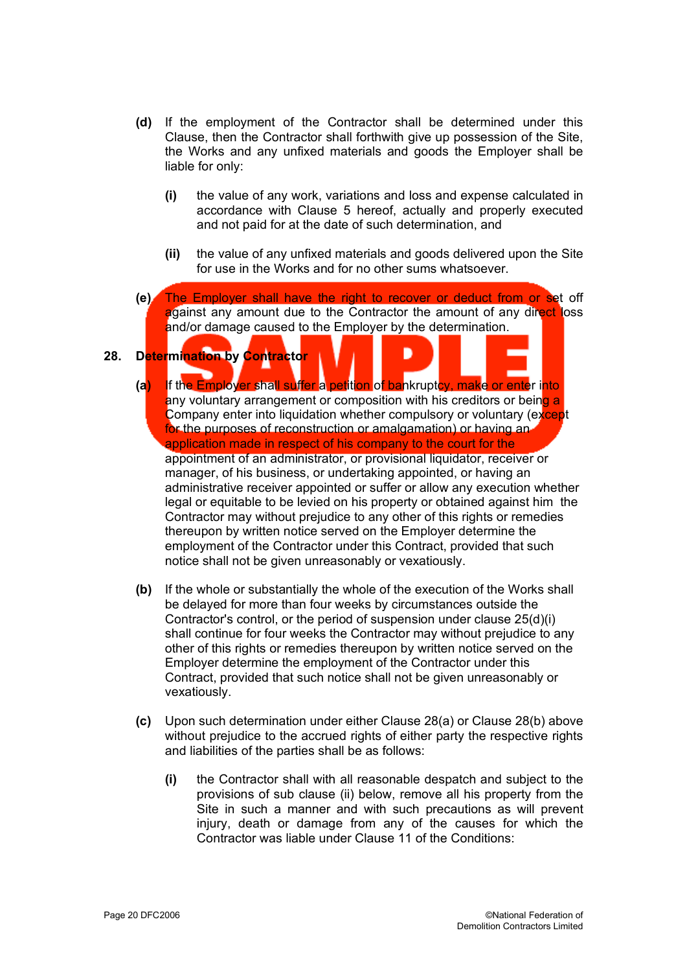- **(d)** If the employment of the Contractor shall be determined under this Clause, then the Contractor shall forthwith give up possession of the Site, the Works and any unfixed materials and goods the Employer shall be liable for only:
	- **(i)** the value of any work, variations and loss and expense calculated in accordance with Clause 5 hereof, actually and properly executed and not paid for at the date of such determination, and
	- **(ii)** the value of any unfixed materials and goods delivered upon the Site for use in the Works and for no other sums whatsoever.
- **(e)** The Employer shall have the right to recover or deduct from or set off against any amount due to the Contractor the amount of any direct loss and/or damage caused to the Employer by the determination.

# **28. Determination by Contractor**

- **(a)** If the Employer shall suffer a petition of bankruptcy, make or enter into any voluntary arrangement or composition with his creditors or being a Company enter into liquidation whether compulsory or voluntary (except for the purposes of reconstruction or amalgamation) or having an application made in respect of his company to the court for the appointment of an administrator, or provisional liquidator, receiver or manager, of his business, or undertaking appointed, or having an administrative receiver appointed or suffer or allow any execution whether legal or equitable to be levied on his property or obtained against him the Contractor may without prejudice to any other of this rights or remedies thereupon by written notice served on the Employer determine the employment of the Contractor under this Contract, provided that such notice shall not be given unreasonably or vexatiously.
- **(b)** If the whole or substantially the whole of the execution of the Works shall be delayed for more than four weeks by circumstances outside the Contractor's control, or the period of suspension under clause 25(d)(i) shall continue for four weeks the Contractor may without prejudice to any other of this rights or remedies thereupon by written notice served on the Employer determine the employment of the Contractor under this Contract, provided that such notice shall not be given unreasonably or vexatiously.
- **(c)** Upon such determination under either Clause 28(a) or Clause 28(b) above without prejudice to the accrued rights of either party the respective rights and liabilities of the parties shall be as follows:
	- **(i)** the Contractor shall with all reasonable despatch and subject to the provisions of sub clause (ii) below, remove all his property from the Site in such a manner and with such precautions as will prevent injury, death or damage from any of the causes for which the Contractor was liable under Clause 11 of the Conditions: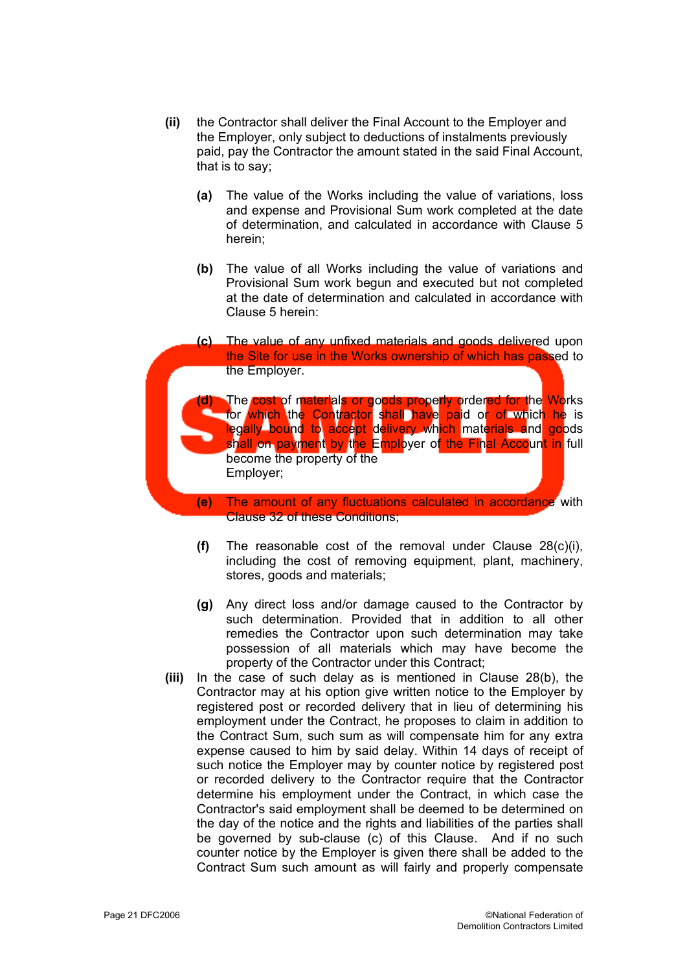- **(ii)** the Contractor shall deliver the Final Account to the Employer and the Employer, only subject to deductions of instalments previously paid, pay the Contractor the amount stated in the said Final Account, that is to say;
	- **(a)** The value of the Works including the value of variations, loss and expense and Provisional Sum work completed at the date of determination, and calculated in accordance with Clause 5 herein;
	- **(b)** The value of all Works including the value of variations and Provisional Sum work begun and executed but not completed at the date of determination and calculated in accordance with Clause 5 herein:
- **(c)** The value of any unfixed materials and goods delivered upon the Site for use in the Works ownership of which has passed to the Employer. **(d)** The cost of materials or goods properly ordered for the Works for which the Contractor shall have paid or of which he is legally bound to accept delivery which materials and goods shall on payment by the Employer of the Final Account in full become the property of the Employer; **(e)** The amount of any fluctuations calculated in accordance with
	- Clause 32 of these Conditions;
	- **(f)** The reasonable cost of the removal under Clause 28(c)(i), including the cost of removing equipment, plant, machinery, stores, goods and materials;
	- **(g)** Any direct loss and/or damage caused to the Contractor by such determination. Provided that in addition to all other remedies the Contractor upon such determination may take possession of all materials which may have become the property of the Contractor under this Contract;
	- **(iii)** In the case of such delay as is mentioned in Clause 28(b), the Contractor may at his option give written notice to the Employer by registered post or recorded delivery that in lieu of determining his employment under the Contract, he proposes to claim in addition to the Contract Sum, such sum as will compensate him for any extra expense caused to him by said delay. Within 14 days of receipt of such notice the Employer may by counter notice by registered post or recorded delivery to the Contractor require that the Contractor determine his employment under the Contract, in which case the Contractor's said employment shall be deemed to be determined on the day of the notice and the rights and liabilities of the parties shall be governed by sub-clause (c) of this Clause. And if no such counter notice by the Employer is given there shall be added to the Contract Sum such amount as will fairly and properly compensate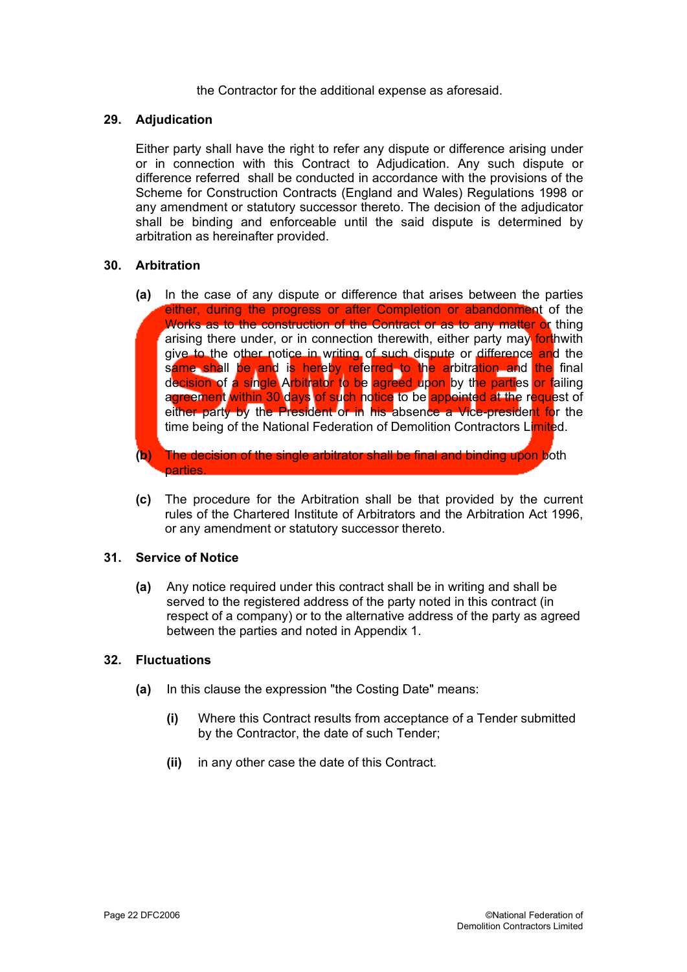the Contractor for the additional expense as aforesaid.

## **29. Adjudication**

Either party shall have the right to refer any dispute or difference arising under or in connection with this Contract to Adjudication. Any such dispute or difference referred shall be conducted in accordance with the provisions of the Scheme for Construction Contracts (England and Wales) Regulations 1998 or any amendment or statutory successor thereto. The decision of the adjudicator shall be binding and enforceable until the said dispute is determined by arbitration as hereinafter provided.

## **30. Arbitration**

- **(a)** In the case of any dispute or difference that arises between the parties either, during the progress or after Completion or abandonment of the Works as to the construction of the Contract or as to any matter or thing arising there under, or in connection therewith, either party may forthwith give to the other notice in writing of such dispute or difference and the s<mark>ame shall be an</mark>d i<mark>s hereby referred to the a</mark>rbitration and <mark>the</mark> final decision of a single Arbitrator to be agreed upon by the parties or failing agreement within 30 days of such notice to be appointed at the request of either party by the President or in his absence a Vice-president for the time being of the National Federation of Demolition Contractors Limited.
- **(b)** The decision of the single arbitrator shall be final and binding upon both parties.
- **(c)** The procedure for the Arbitration shall be that provided by the current rules of the Chartered Institute of Arbitrators and the Arbitration Act 1996, or any amendment or statutory successor thereto.

## **31. Service of Notice**

**(a)** Any notice required under this contract shall be in writing and shall be served to the registered address of the party noted in this contract (in respect of a company) or to the alternative address of the party as agreed between the parties and noted in Appendix 1.

## **32. Fluctuations**

- **(a)** In this clause the expression "the Costing Date" means:
	- **(i)** Where this Contract results from acceptance of a Tender submitted by the Contractor, the date of such Tender;
	- **(ii)** in any other case the date of this Contract.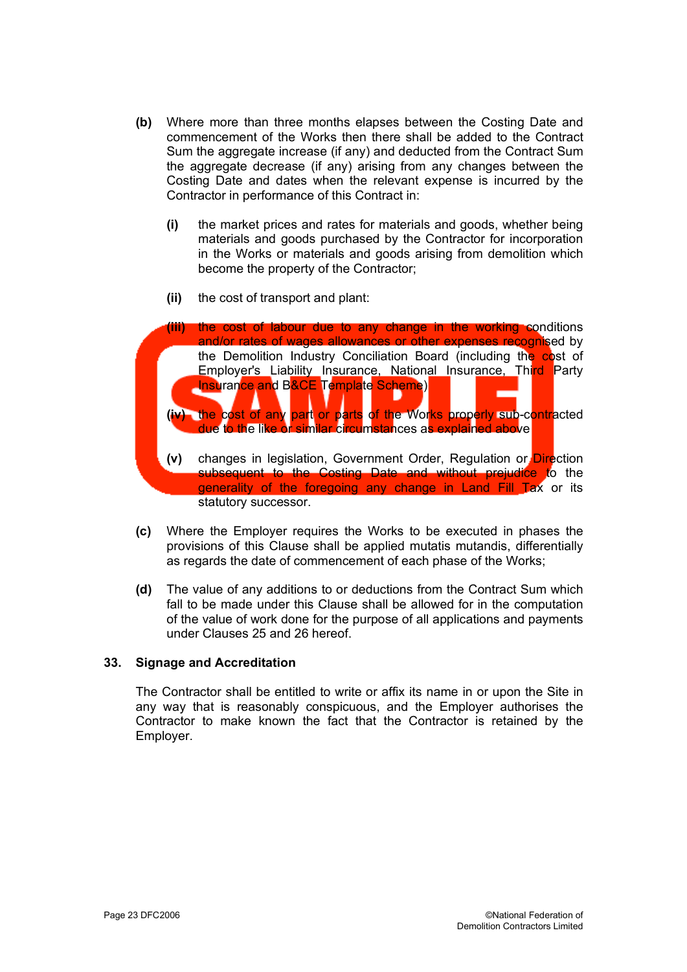- **(b)** Where more than three months elapses between the Costing Date and commencement of the Works then there shall be added to the Contract Sum the aggregate increase (if any) and deducted from the Contract Sum the aggregate decrease (if any) arising from any changes between the Costing Date and dates when the relevant expense is incurred by the Contractor in performance of this Contract in:
	- **(i)** the market prices and rates for materials and goods, whether being materials and goods purchased by the Contractor for incorporation in the Works or materials and goods arising from demolition which become the property of the Contractor;
	- **(ii)** the cost of transport and plant:



- **(c)** Where the Employer requires the Works to be executed in phases the provisions of this Clause shall be applied mutatis mutandis, differentially as regards the date of commencement of each phase of the Works;
- **(d)** The value of any additions to or deductions from the Contract Sum which fall to be made under this Clause shall be allowed for in the computation of the value of work done for the purpose of all applications and payments under Clauses 25 and 26 hereof.

## **33. Signage and Accreditation**

The Contractor shall be entitled to write or affix its name in or upon the Site in any way that is reasonably conspicuous, and the Employer authorises the Contractor to make known the fact that the Contractor is retained by the Employer.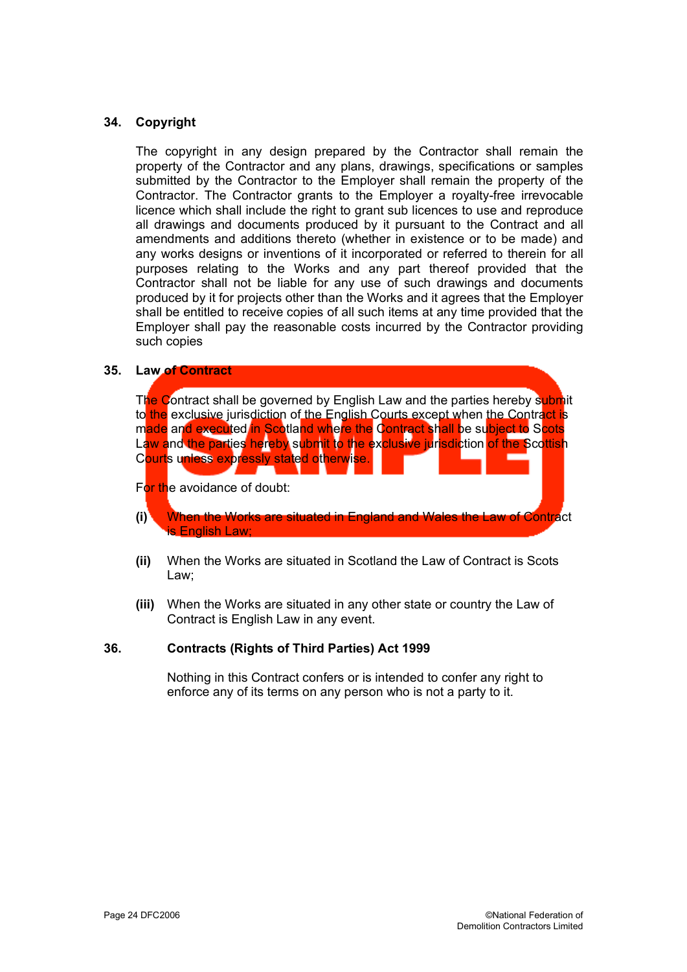## **34. Copyright**

The copyright in any design prepared by the Contractor shall remain the property of the Contractor and any plans, drawings, specifications or samples submitted by the Contractor to the Employer shall remain the property of the Contractor. The Contractor grants to the Employer a royalty-free irrevocable licence which shall include the right to grant sub licences to use and reproduce all drawings and documents produced by it pursuant to the Contract and all amendments and additions thereto (whether in existence or to be made) and any works designs or inventions of it incorporated or referred to therein for all purposes relating to the Works and any part thereof provided that the Contractor shall not be liable for any use of such drawings and documents produced by it for projects other than the Works and it agrees that the Employer shall be entitled to receive copies of all such items at any time provided that the Employer shall pay the reasonable costs incurred by the Contractor providing such copies

#### **35. Law of Contract**

The Contract shall be governed by English Law and the parties hereby submit to the exclusive jurisdiction of the English Courts except when the Contract is made and executed in Scotland where the Contract shall be subject to Scots Law and the parties hereby submit to the exclusive jurisdiction of the Scottish Courts unless expressly stated otherwise.

For the avoidance of doubt:

- **(i)** When the Works are situated in England and Wales the Law of Contract is English Law;
- **(ii)** When the Works are situated in Scotland the Law of Contract is Scots Law;
- **(iii)** When the Works are situated in any other state or country the Law of Contract is English Law in any event.

## **36. Contracts (Rights of Third Parties) Act 1999**

Nothing in this Contract confers or is intended to confer any right to enforce any of its terms on any person who is not a party to it.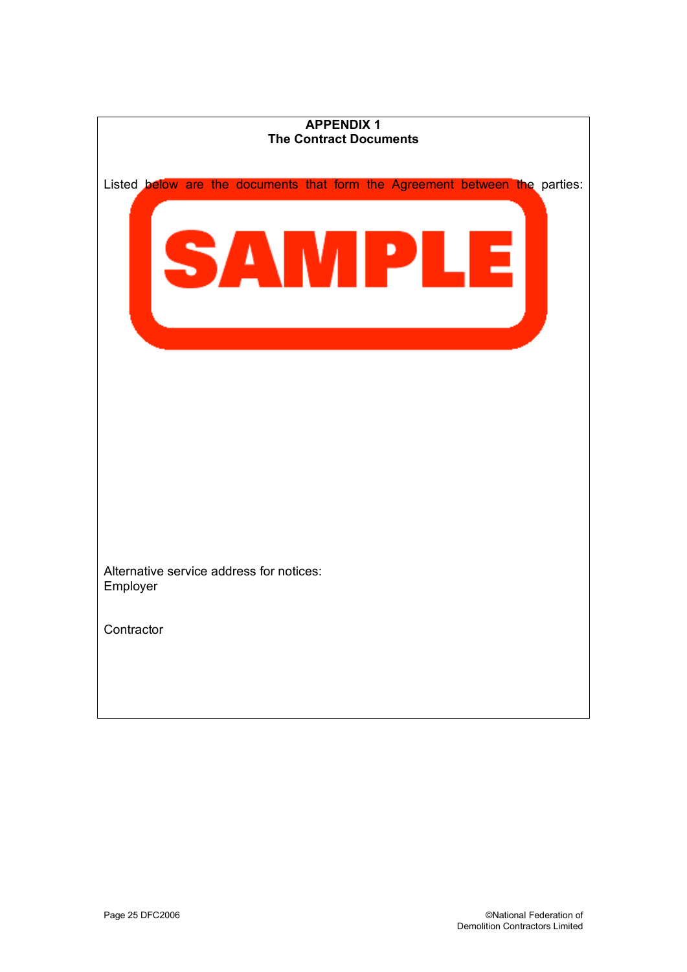| <b>APPENDIX1</b>                                                            |  |
|-----------------------------------------------------------------------------|--|
| <b>The Contract Documents</b>                                               |  |
| Listed below are the documents that form the Agreement between the parties: |  |
| <b>STAR</b>                                                                 |  |
|                                                                             |  |
|                                                                             |  |
|                                                                             |  |
| Alternative service address for notices:<br>Employer                        |  |
| Contractor                                                                  |  |
|                                                                             |  |